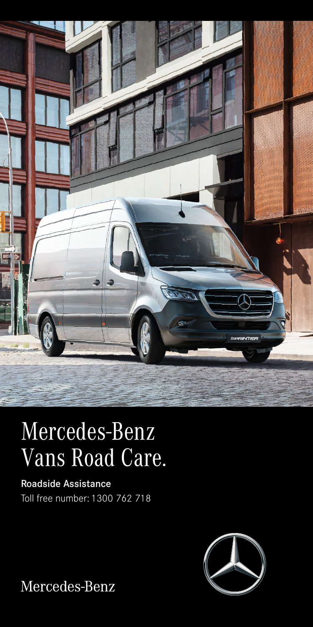

# Mercedes-Benz Vans Road Care.

Roadside Assistance Toll free number: 1300 762 718



Mercedes-Benz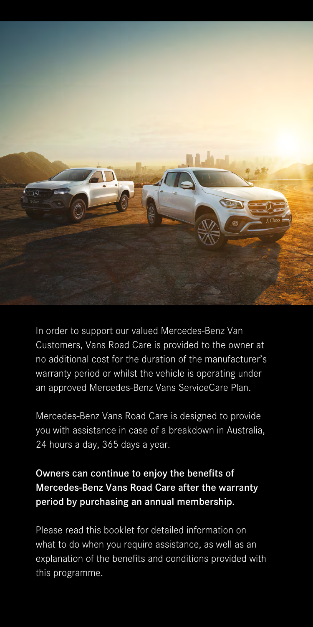

In order to support our valued Mercedes-Benz Van Customers, Vans Road Care is provided to the owner at no additional cost for the duration of the manufacturer's warranty period or whilst the vehicle is operating under an approved Mercedes-Benz Vans ServiceCare Plan.

Mercedes-Benz Vans Road Care is designed to provide you with assistance in case of a breakdown in Australia, 24 hours a day, 365 days a year.

## Owners can continue to enjoy the benefits of Mercedes-Benz Vans Road Care after the warranty period by purchasing an annual membership.

Please read this booklet for detailed information on what to do when you require assistance, as well as an explanation of the benefits and conditions provided with this programme.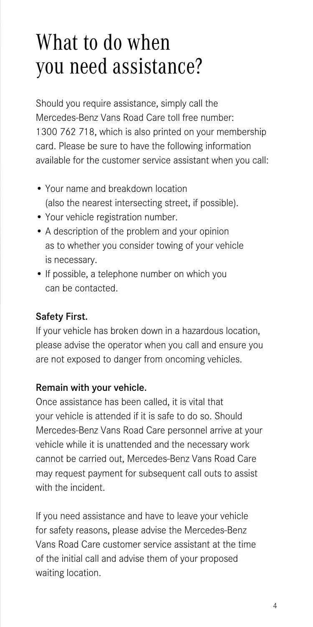## What to do when you need assistance?

Should you require assistance, simply call the Mercedes-Benz Vans Road Care toll free number: 1300 762 718, which is also printed on your membership card. Please be sure to have the following information available for the customer service assistant when you call:

- Your name and breakdown location (also the nearest intersecting street, if possible).
- Your vehicle registration number.
- A description of the problem and your opinion as to whether you consider towing of your vehicle is necessary.
- If possible, a telephone number on which you can be contacted.

### Safety First.

If your vehicle has broken down in a hazardous location, please advise the operator when you call and ensure you are not exposed to danger from oncoming vehicles.

### Remain with your vehicle.

Once assistance has been called, it is vital that your vehicle is attended if it is safe to do so. Should Mercedes-Benz Vans Road Care personnel arrive at your vehicle while it is unattended and the necessary work cannot be carried out, Mercedes-Benz Vans Road Care may request payment for subsequent call outs to assist with the incident

If you need assistance and have to leave your vehicle for safety reasons, please advise the Mercedes-Benz Vans Road Care customer service assistant at the time of the initial call and advise them of your proposed waiting location.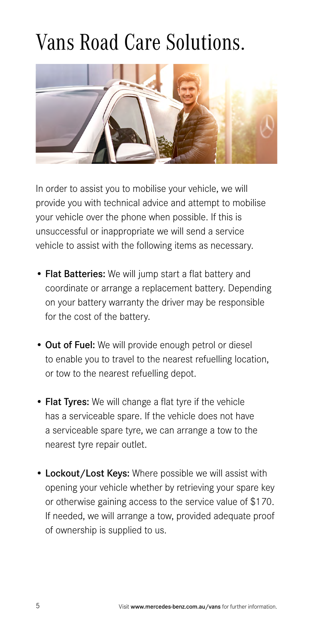## Vans Road Care Solutions.



In order to assist you to mobilise your vehicle, we will provide you with technical advice and attempt to mobilise your vehicle over the phone when possible. If this is unsuccessful or inappropriate we will send a service vehicle to assist with the following items as necessary.

- Flat Batteries: We will jump start a flat battery and coordinate or arrange a replacement battery. Depending on your battery warranty the driver may be responsible for the cost of the battery.
- Out of Fuel: We will provide enough petrol or diesel to enable you to travel to the nearest refuelling location, or tow to the nearest refuelling depot.
- Flat Tyres: We will change a flat tyre if the vehicle has a serviceable spare. If the vehicle does not have a serviceable spare tyre, we can arrange a tow to the nearest tyre repair outlet.
- Lockout/Lost Keys: Where possible we will assist with opening your vehicle whether by retrieving your spare key or otherwise gaining access to the service value of \$170. If needed, we will arrange a tow, provided adequate proof of ownership is supplied to us.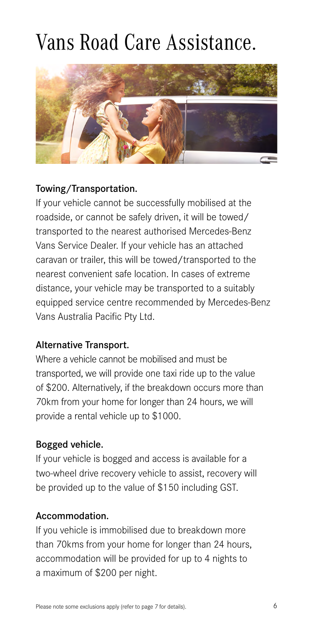## Vans Road Care Assistance.



### Towing/Transportation.

If your vehicle cannot be successfully mobilised at the roadside, or cannot be safely driven, it will be towed/ transported to the nearest authorised Mercedes-Benz Vans Service Dealer. If your vehicle has an attached caravan or trailer, this will be towed/transported to the nearest convenient safe location. In cases of extreme distance, your vehicle may be transported to a suitably equipped service centre recommended by Mercedes-Benz Vans Australia Pacific Pty Ltd.

### Alternative Transport.

Where a vehicle cannot be mobilised and must be transported, we will provide one taxi ride up to the value of \$200. Alternatively, if the breakdown occurs more than 70km from your home for longer than 24 hours, we will provide a rental vehicle up to \$1000.

### Bogged vehicle.

If your vehicle is bogged and access is available for a two-wheel drive recovery vehicle to assist, recovery will be provided up to the value of \$150 including GST.

### Accommodation.

If you vehicle is immobilised due to breakdown more than 70kms from your home for longer than 24 hours, accommodation will be provided for up to 4 nights to a maximum of \$200 per night.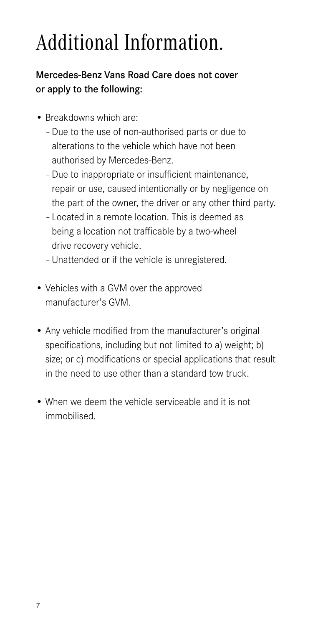# Additional Information.

## Mercedes-Benz Vans Road Care does not cover or apply to the following:

- Breakdowns which are:
	- Due to the use of non-authorised parts or due to alterations to the vehicle which have not been authorised by Mercedes-Benz.
	- Due to inappropriate or insufficient maintenance, repair or use, caused intentionally or by negligence on the part of the owner, the driver or any other third party.
	- Located in a remote location. This is deemed as being a location not trafficable by a two-wheel drive recovery vehicle.
	- Unattended or if the vehicle is unregistered.
- Vehicles with a GVM over the approved manufacturer's GVM.
- Any vehicle modified from the manufacturer's original specifications, including but not limited to a) weight; b) size; or c) modifications or special applications that result in the need to use other than a standard tow truck.
- When we deem the vehicle serviceable and it is not immobilised.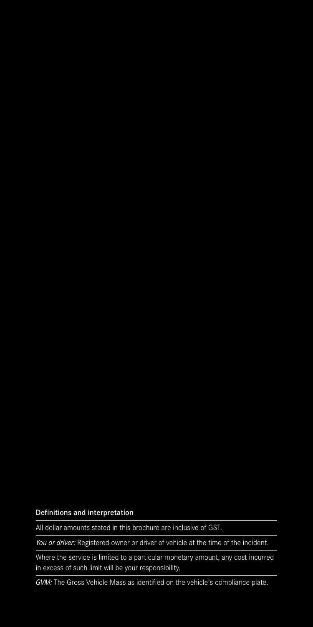#### Definitions and interpretation

All dollar amounts stated in this brochure are inclusive of GST.

*You or driver:* Registered owner or driver of vehicle at the time of the incident.

Where the service is limited to a particular monetary amount, any cost incurred in excess of such limit will be your responsibility.

*GVM:* The Gross Vehicle Mass as identified on the vehicle's compliance plate.